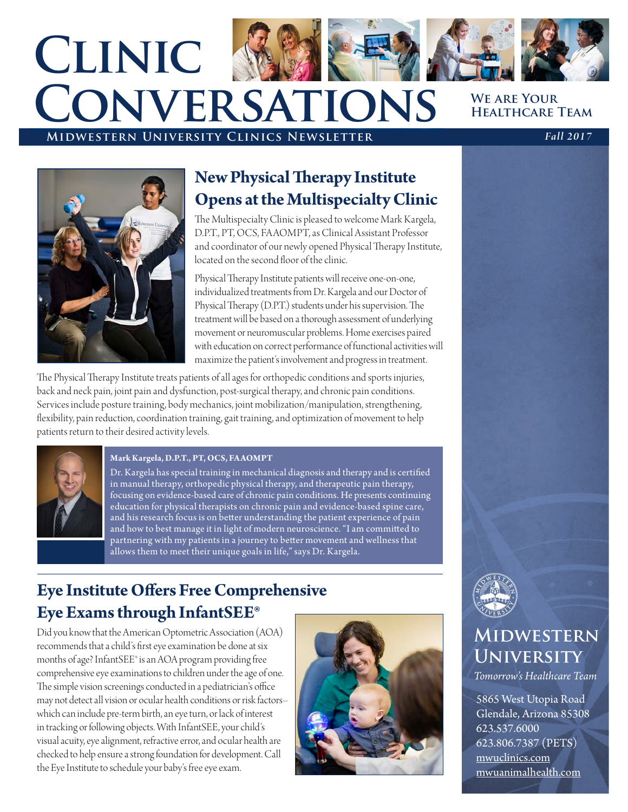# **We are Your Healthcare Team Clinic Conversations**

### **Midwestern University Clinics Newsletter** *Fall 2017*

### **New Physical Therapy Institute Opens at the Multispecialty Clinic**

The Multispecialty Clinic is pleased to welcome Mark Kargela, D.P.T., PT, OCS, FA AOMPT, as Clinical Assistant Professor and coordinator of our newly opened Physical Therapy Institute, located on the second floor of the clinic.

Physical Therapy Institute patients will receive one-on-one, individualized treatments from Dr. Kargela and our Doctor of Physical Therapy (D.P.T.) students under his supervision. The treatment will be based on a thorough assessment of underlying movement or neuromuscular problems. Home exercises paired with education on correct performance of functional activities will maximize the patient's involvement and progress in treatment.

The Physical Therapy Institute treats patients of all ages for orthopedic conditions and sports injuries, back and neck pain, joint pain and dysfunction, post-surgical therapy, and chronic pain conditions. Services include posture training, body mechanics, joint mobilization/manipulation, strengthening, flexibility, pain reduction, coordination training, gait training, and optimization of movement to help patients return to their desired activity levels.



### **Mark Kargela, D.P.T., PT, OCS, FAAOMPT**

Dr. Kargela has special training in mechanical diagnosis and therapy and is certified in manual therapy, orthopedic physical therapy, and therapeutic pain therapy, focusing on evidence-based care of chronic pain conditions. He presents continuing education for physical therapists on chronic pain and evidence-based spine care, and his research focus is on better understanding the patient experience of pain and how to best manage it in light of modern neuroscience. "I am committed to partnering with my patients in a journey to better movement and wellness that allows them to meet their unique goals in life," says Dr. Kargela.

### **Eye Institute Offers Free Comprehensive Eye Exams through InfantSEE®**

Did you know that the American Optometric Association (AOA) recommends that a child's first eye examination be done at six months of age? InfantSEE® is an AOA program providing free comprehensive eye examinations to children under the age of one. The simple vision screenings conducted in a pediatrician's office may not detect all vision or ocular health conditions or risk factors– which can include pre-term birth, an eye turn, or lack of interest in tracking or following objects. With InfantSEE, your child's visual acuity, eye alignment, refractive error, and ocular health are checked to help ensure a strong foundation for development. Call the Eye Institute to schedule your baby's free eye exam.





## **MIDWESTERN UNIVERSITY**

*Tomorrow's Healthcare Team*

5865 West Utopia Road Glendale, Arizona 85308 623.537.6000 623.806.7387 (PETS) mwuclinics.com mwuanimalhealth.com